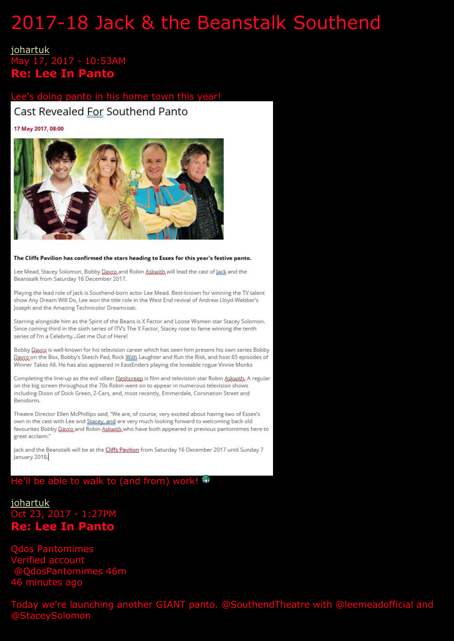# 2017-18 Jack & the Beanstalk Southend

#### [johartuk](http://pub29.bravenet.com/forum/static/show.php?usernum=2462310622&cmd=search&searchby=user&searchfor=johartuk&cp=2&frmid=10) May 17, 2017 - 10:53AM **Re: Lee In Panto**

#### Lee's doing panto in his home town

#### Cast Revealed For Southend Panto

17 May 2017, 08:00



The Cliffs Pavilion has confirmed the stars heading to Essex for this year's festive panto.

Lee Mead, Stacey Solomon, Bobby Daxxp, and Robin Askwith will lead the cast of Jack and the Beanstalk from Saturday 16 December 2017.

Playing the lead role of Jack is Southend-born actor Lee Mead, Best-known for winning the TV talent show Any Dream Will Do, Lee won the title role in the West End revival of Andrew Lloyd-Webber's Joseph and the Amazing Technicolor Dreamcoat.

Starring alongside him as the Spirit of the Beans is X Factor and Loose Women star Stacey Solomon. Since coming third in the sixth series of ITV's The X Factor, Stacey rose to fame winning the tenth series of I'm a Celebrity...Get me Out of Here!

Bobby Dayro is well-known for his television career which has seen him present his own series Bobby Dayro on the Box, Bobby's Sketch Pad, Rock With Laughter and Run the Risk, and host 65 episodes of Winner Takes All. He has also appeared in EastEnders playing the loveable rogue Vinnie Monks

Completing the line-up as the evil villain Elesbergen is film and television star Robin Askwith, A regular on the big screen throughout the 70s Robin went on to appear in numerous television shows including Dixon of Dock Green, Z-Cars, and, most recently, Emmerdale, Coronation Street and Benidorm.

Theatre Director Ellen McPhillips said, "We are, of course, very excited about having two of Essex's own in the cast with Lee and Stacey, and are very much looking forward to welcoming back old favourites Bobby Daxxo and Robin Askwith who have both appeared in previous pantomimes here to great acclaim."

Jack and the Beanstalk will be at the Cliffs Pavilion from Saturday 16 December 2017 until Sunday 7 January 2018.

#### He'll be able to walk to (and from) work! <sup>66</sup>

[johartuk](http://pub29.bravenet.com/forum/static/show.php?usernum=2462310622&cmd=search&searchby=user&searchfor=johartuk&cp=2&frmid=10) Oct 23, 2017 - 1:27PM **Re: Lee In Panto**

Qdos Pantomimes erified account @QdosPantomimes 46m 46 minutes ago

Today we're launching another GIANT panto. @SouthendTheatre with @leemeadofficial and @StaceySolomon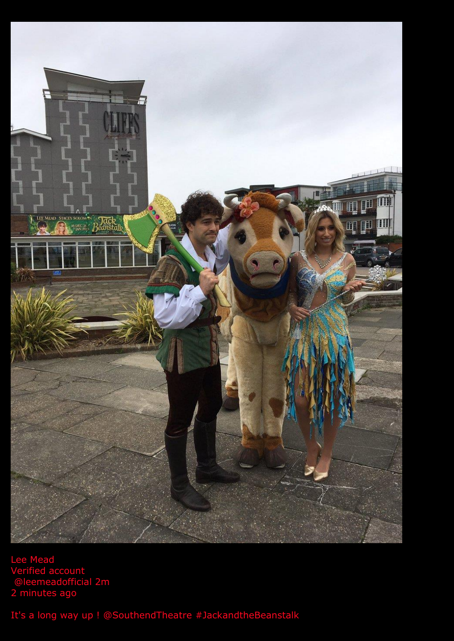

Lee Mead Verified account @leemeadofficial 2m 2 minutes ago

It's a long way up ! @SouthendTheatre #JackandtheBeanstalk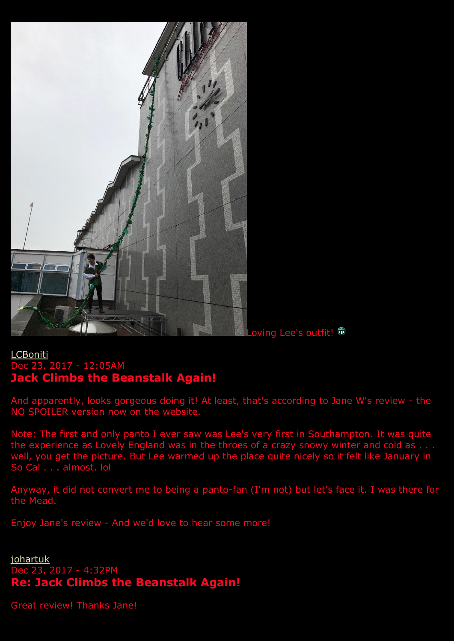

Loving Lee's outfit! <sup>●</sup>

## [LCBoniti](http://pub29.bravenet.com/forum/static/show.php?usernum=2462310622&cmd=search&searchby=user&searchfor=LCBoniti&cp=0&frmid=10) Dec 23, 2017 - 12:05AM **Jack Climbs the Beanstalk Again!**

And apparently, looks gorgeous doing it! At least, that's according to Jane W's review - the NO SPOILER version now on the website.

Note: The first and only panto I ever saw was Lee's very first in Southampton. It was quite the experience as Lovely England was in the throes of a crazy snowy winter and cold as . . . well, you get the picture. But Lee warmed up the place quite nicely so it felt like January in So Cal . . . almost. lol

Anyway, it did not convert me to being a panto-fan (I'm not) but let's face it. I was there for the Mead.

Enjoy Jane's review - And we'd love to hear some more!

**[johartuk](http://pub29.bravenet.com/forum/static/show.php?usernum=2462310622&cmd=search&searchby=user&searchfor=johartuk&cp=0&frmid=10)** Dec 23, 2017 - 4:32PM **Re: Jack Climbs the Beanstalk Again!**

Great review! Thanks Jane!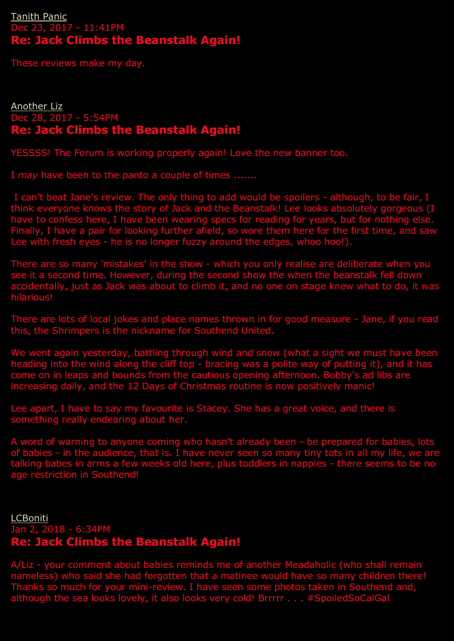#### [Tanith Panic](http://pub29.bravenet.com/forum/static/show.php?usernum=2462310622&cmd=search&searchby=user&searchfor=Tanith%2BPanic&cp=0&frmid=10) Dec 23, 2017 - 11:41PM **Re: Jack Climbs the Beanstalk Again!**

These reviews make my day.

#### [Another Liz](http://pub29.bravenet.com/forum/static/show.php?usernum=2462310622&cmd=search&searchby=user&searchfor=Another%2BLiz&cp=0&frmid=10) Dec 28, 2017 - 5:54PM **Re: Jack Climbs the Beanstalk Again!**

YESSSS! The Forum is working properly again! Love the new banner too.

I *may* have been to the panto a couple of times .......

I can't beat Jane's review. The only thing to add would be spoilers - although, to be fair, I think everyone knows the story of Jack and the Beanstalk! Lee looks absolutely gorgeous (I have to confess here, I have been wearing specs for reading for years, but for nothing else. Finally, I have a pair for looking further afield, so wore them here for the first time, and saw Lee with fresh eyes - he is no longer fuzzy around the edges, whoo hoo!).

There are so many 'mistakes' in the show - which you only realise are deliberate when you see it a second time. However, during the second show the when the beanstalk fell down accidentally, just as Jack was about to climb it, and no one on stage knew what to do, it was hilarious!

There are lots of local jokes and place names thrown in for good measure - Jane, if you read this, the Shrimpers is the nickname for Southend United.

We went again yesterday, battling through wind and snow (what a sight we must have been heading into the wind along the cliff top - bracing was a polite way of putting it), and it has come on in leaps and bounds from the cautious opening afternoon. Bobby's ad libs are increasing daily, and the 12 Days of Christmas routine is now positively manic!

Lee apart, I have to say my favourite is Stacey. She has a great voice, and there is something really endearing about her.

A word of warning to anyone coming who hasn't already been - be prepared for babies, lots of babies - in the audience, that is. I have never seen so many tiny tots in all my life, we are talking babes in arms a few weeks old here, plus toddlers in nappies - there seems to be no age restriction in Southend!

[LCBoniti](http://pub29.bravenet.com/forum/static/show.php?usernum=2462310622&cmd=search&searchby=user&searchfor=LCBoniti&cp=0&frmid=10) Jan 2, 2018 - 6:34PM **Re: Jack Climbs the Beanstalk Again!**

A/Liz - your comment about babies reminds me of another Meadaholic (who shall remain nameless) who said she had forgotten that a matinee would have so many children there! Thanks so much for your mini-review. I have seen some photos taken in Southend and, although the sea looks lovely, it also looks very cold! Brrrrr . . . #SpoiledSoCalGal